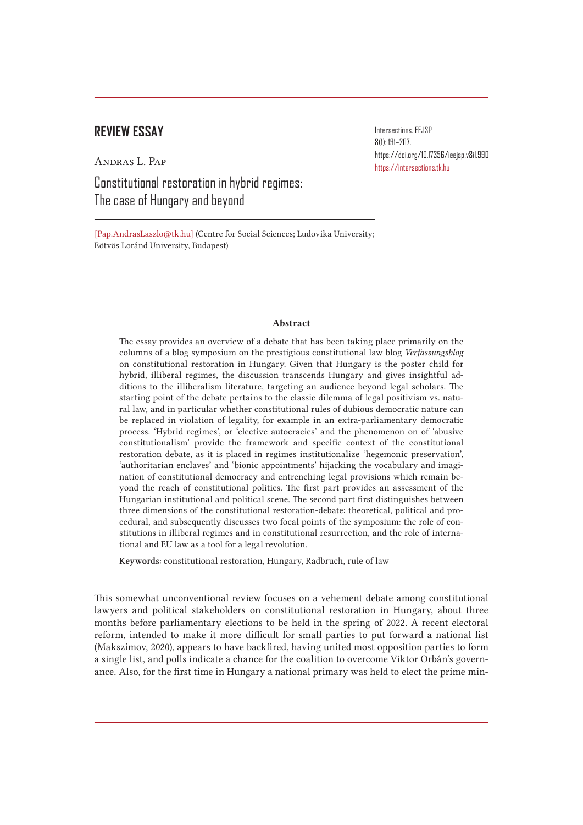# **REVIEW ESSAY**

Andras L. Pap

Constitutional restoration in hybrid regimes: The case of Hungary and beyond

Intersections. EEJSP 8(1): 191–207. https://doi.org/10.17356/ieejsp.v8i1.990 https://intersections.tk.hu

[Pap.AndrasLaszlo@tk.hu] (Centre for Social Sciences; Ludovika University; Eötvös Loránd University, Budapest)

# Abstract

The essay provides an overview of a debate that has been taking place primarily on the columns of a blog symposium on the prestigious constitutional law blog *Verfassungsblog* on constitutional restoration in Hungary. Given that Hungary is the poster child for hybrid, illiberal regimes, the discussion transcends Hungary and gives insightful additions to the illiberalism literature, targeting an audience beyond legal scholars. The starting point of the debate pertains to the classic dilemma of legal positivism vs. natural law, and in particular whether constitutional rules of dubious democratic nature can be replaced in violation of legality, for example in an extra-parliamentary democratic process. 'Hybrid regimes', or 'elective autocracies' and the phenomenon on of 'abusive constitutionalism' provide the framework and specific context of the constitutional restoration debate, as it is placed in regimes institutionalize 'hegemonic preservation', 'authoritarian enclaves' and 'bionic appointments' hijacking the vocabulary and imagination of constitutional democracy and entrenching legal provisions which remain beyond the reach of constitutional politics. The first part provides an assessment of the Hungarian institutional and political scene. The second part first distinguishes between three dimensions of the constitutional restoration-debate: theoretical, political and procedural, and subsequently discusses two focal points of the symposium: the role of constitutions in illiberal regimes and in constitutional resurrection, and the role of international and EU law as a tool for a legal revolution.

Keywords: constitutional restoration, Hungary, Radbruch, rule of law

This somewhat unconventional review focuses on a vehement debate among constitutional lawyers and political stakeholders on constitutional restoration in Hungary, about three months before parliamentary elections to be held in the spring of 2022. A recent electoral reform, intended to make it more difficult for small parties to put forward a national list (Makszimov, 2020), appears to have backfired, having united most opposition parties to form a single list, and polls indicate a chance for the coalition to overcome Viktor Orbán's governance. Also, for the first time in Hungary a national primary was held to elect the prime min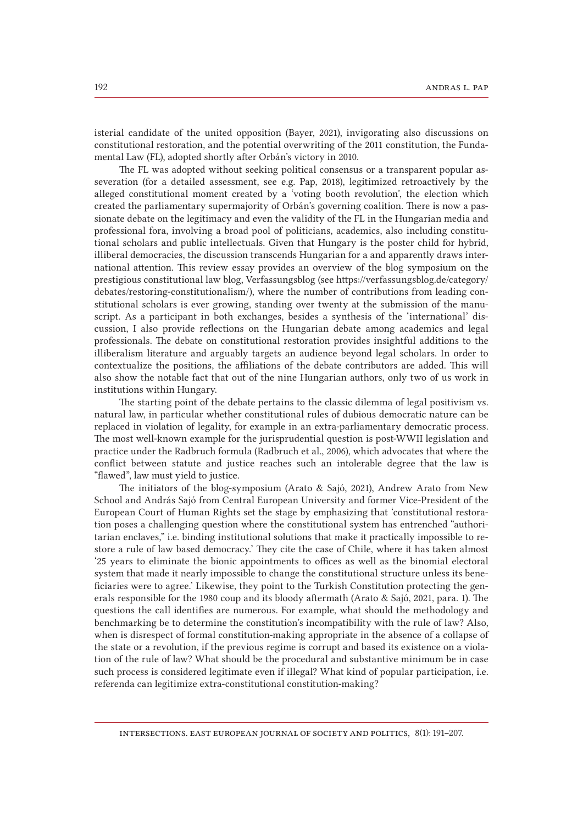isterial candidate of the united opposition (Bayer, 2021), invigorating also discussions on constitutional restoration, and the potential overwriting of the 2011 constitution, the Fundamental Law (FL), adopted shortly after Orbán's victory in 2010.

The FL was adopted without seeking political consensus or a transparent popular asseveration (for a detailed assessment, see e.g. Pap, 2018), legitimized retroactively by the alleged constitutional moment created by a 'voting booth revolution', the election which created the parliamentary supermajority of Orbán's governing coalition. There is now a passionate debate on the legitimacy and even the validity of the FL in the Hungarian media and professional fora, involving a broad pool of politicians, academics, also including constitutional scholars and public intellectuals. Given that Hungary is the poster child for hybrid, illiberal democracies, the discussion transcends Hungarian for a and apparently draws international attention. This review essay provides an overview of the blog symposium on the prestigious constitutional law blog, Verfassungsblog (see https://verfassungsblog.de/category/ debates/restoring-constitutionalism/), where the number of contributions from leading constitutional scholars is ever growing, standing over twenty at the submission of the manuscript. As a participant in both exchanges, besides a synthesis of the 'international' discussion, I also provide reflections on the Hungarian debate among academics and legal professionals. The debate on constitutional restoration provides insightful additions to the illiberalism literature and arguably targets an audience beyond legal scholars. In order to contextualize the positions, the affiliations of the debate contributors are added. This will also show the notable fact that out of the nine Hungarian authors, only two of us work in institutions within Hungary.

The starting point of the debate pertains to the classic dilemma of legal positivism vs. natural law, in particular whether constitutional rules of dubious democratic nature can be replaced in violation of legality, for example in an extra-parliamentary democratic process. The most well-known example for the jurisprudential question is post-WWII legislation and practice under the Radbruch formula (Radbruch et al., 2006), which advocates that where the conflict between statute and justice reaches such an intolerable degree that the law is "flawed", law must yield to justice.

The initiators of the blog-symposium (Arato & Sajó, 2021), Andrew Arato from New School and András Sajó from Central European University and former Vice-President of the European Court of Human Rights set the stage by emphasizing that 'constitutional restoration poses a challenging question where the constitutional system has entrenched "authoritarian enclaves," i.e. binding institutional solutions that make it practically impossible to restore a rule of law based democracy.' They cite the case of Chile, where it has taken almost '25 years to eliminate the bionic appointments to offices as well as the binomial electoral system that made it nearly impossible to change the constitutional structure unless its beneficiaries were to agree.' Likewise, they point to the Turkish Constitution protecting the generals responsible for the 1980 coup and its bloody aftermath (Arato & Sajó, 2021, para. 1). The questions the call identifies are numerous. For example, what should the methodology and benchmarking be to determine the constitution's incompatibility with the rule of law? Also, when is disrespect of formal constitution-making appropriate in the absence of a collapse of the state or a revolution, if the previous regime is corrupt and based its existence on a violation of the rule of law? What should be the procedural and substantive minimum be in case such process is considered legitimate even if illegal? What kind of popular participation, i.e. referenda can legitimize extra-constitutional constitution-making?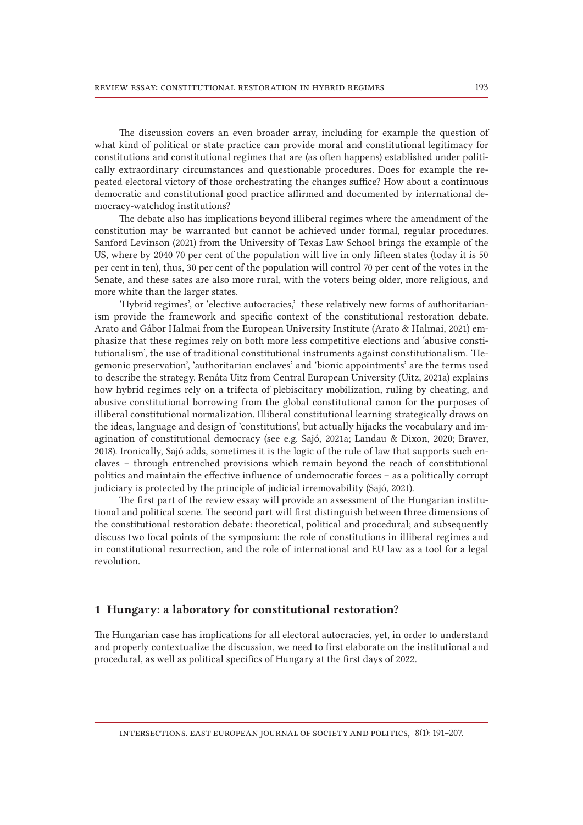The discussion covers an even broader array, including for example the question of what kind of political or state practice can provide moral and constitutional legitimacy for constitutions and constitutional regimes that are (as often happens) established under politically extraordinary circumstances and questionable procedures. Does for example the repeated electoral victory of those orchestrating the changes suffice? How about a continuous democratic and constitutional good practice affirmed and documented by international democracy-watchdog institutions?

The debate also has implications beyond illiberal regimes where the amendment of the constitution may be warranted but cannot be achieved under formal, regular procedures. Sanford Levinson (2021) from the University of Texas Law School brings the example of the US, where by 2040 70 per cent of the population will live in only fifteen states (today it is 50 per cent in ten), thus, 30 per cent of the population will control 70 per cent of the votes in the Senate, and these sates are also more rural, with the voters being older, more religious, and more white than the larger states.

'Hybrid regimes', or 'elective autocracies,' these relatively new forms of authoritarianism provide the framework and specific context of the constitutional restoration debate. Arato and Gábor Halmai from the European University Institute (Arato & Halmai, 2021) emphasize that these regimes rely on both more less competitive elections and 'abusive constitutionalism', the use of traditional constitutional instruments against constitutionalism. 'Hegemonic preservation', 'authoritarian enclaves' and 'bionic appointments' are the terms used to describe the strategy. Renáta Uitz from Central European University (Uitz, 2021a) explains how hybrid regimes rely on a trifecta of plebiscitary mobilization, ruling by cheating, and abusive constitutional borrowing from the global constitutional canon for the purposes of illiberal constitutional normalization. Illiberal constitutional learning strategically draws on the ideas, language and design of  'constitutions', but actually hijacks the vocabulary and imagination of constitutional democracy (see e.g. Sajó, 2021a; Landau & Dixon, 2020; Braver, 2018). Ironically, Sajó adds, sometimes it is the logic of the rule of law that supports such enclaves – through entrenched provisions which remain beyond the reach of constitutional politics and maintain the effective influence of undemocratic forces – as a politically corrupt judiciary is protected by the principle of judicial irremovability (Sajó, 2021).

The first part of the review essay will provide an assessment of the Hungarian institutional and political scene. The second part will first distinguish between three dimensions of the constitutional restoration debate: theoretical, political and procedural; and subsequently discuss two focal points of the symposium: the role of constitutions in illiberal regimes and in constitutional resurrection, and the role of international and EU law as a tool for a legal revolution.

### 1 Hungary: a laboratory for constitutional restoration?

The Hungarian case has implications for all electoral autocracies, yet, in order to understand and properly contextualize the discussion, we need to first elaborate on the institutional and procedural, as well as political specifics of Hungary at the first days of 2022.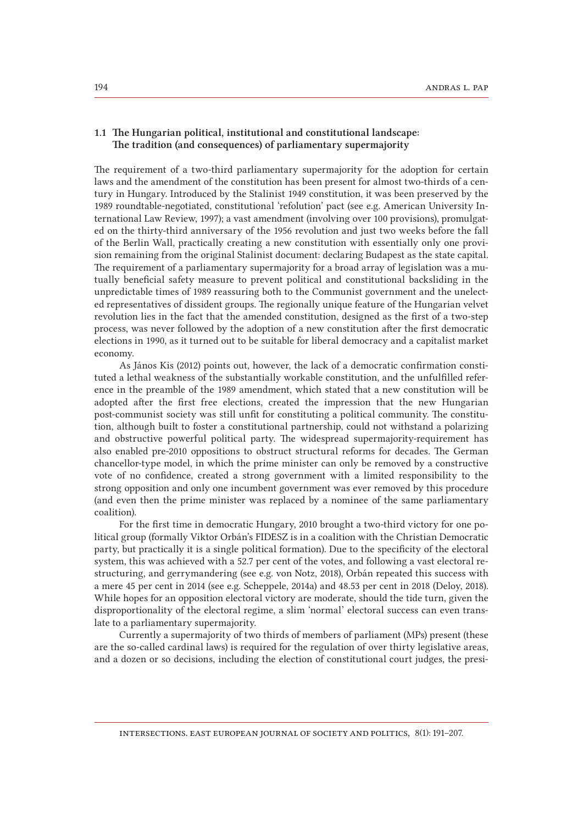# 1.1 The Hungarian political, institutional and constitutional landscape: The tradition (and consequences) of parliamentary supermajority

The requirement of a two-third parliamentary supermajority for the adoption for certain laws and the amendment of the constitution has been present for almost two-thirds of a century in Hungary. Introduced by the Stalinist 1949 constitution, it was been preserved by the 1989 roundtable-negotiated, constitutional 'refolution' pact (see e.g. American University International Law Review, 1997); a vast amendment (involving over 100 provisions), promulgated on the thirty-third anniversary of the 1956 revolution and just two weeks before the fall of the Berlin Wall, practically creating a new constitution with essentially only one provision remaining from the original Stalinist document: declaring Budapest as the state capital. The requirement of a parliamentary supermajority for a broad array of legislation was a mutually beneficial safety measure to prevent political and constitutional backsliding in the unpredictable times of 1989 reassuring both to the Communist government and the unelected representatives of dissident groups. The regionally unique feature of the Hungarian velvet revolution lies in the fact that the amended constitution, designed as the first of a two-step process, was never followed by the adoption of a new constitution after the first democratic elections in 1990, as it turned out to be suitable for liberal democracy and a capitalist market economy.

As János Kis (2012) points out, however, the lack of a democratic confirmation constituted a lethal weakness of the substantially workable constitution, and the unfulfilled reference in the preamble of the 1989 amendment, which stated that a new constitution will be adopted after the first free elections, created the impression that the new Hungarian post-communist society was still unfit for constituting a political community. The constitution, although built to foster a constitutional partnership, could not withstand a polarizing and obstructive powerful political party. The widespread supermajority-requirement has also enabled pre-2010 oppositions to obstruct structural reforms for decades. The German chancellor-type model, in which the prime minister can only be removed by a constructive vote of no confidence, created a strong government with a limited responsibility to the strong opposition and only one incumbent government was ever removed by this procedure (and even then the prime minister was replaced by a nominee of the same parliamentary coalition).

For the first time in democratic Hungary, 2010 brought a two-third victory for one political group (formally Viktor Orbán's FIDESZ is in a coalition with the Christian Democratic party, but practically it is a single political formation). Due to the specificity of the electoral system, this was achieved with a 52.7 per cent of the votes, and following a vast electoral restructuring, and gerrymandering (see e.g. von Notz, 2018), Orbán repeated this success with a mere 45 per cent in 2014 (see e.g. Scheppele, 2014a) and 48.53 per cent in 2018 (Deloy, 2018). While hopes for an opposition electoral victory are moderate, should the tide turn, given the disproportionality of the electoral regime, a slim 'normal' electoral success can even translate to a parliamentary supermajority.

Currently a supermajority of two thirds of members of parliament (MPs) present (these are the so-called cardinal laws) is required for the regulation of over thirty legislative areas, and a dozen or so decisions, including the election of constitutional court judges, the presi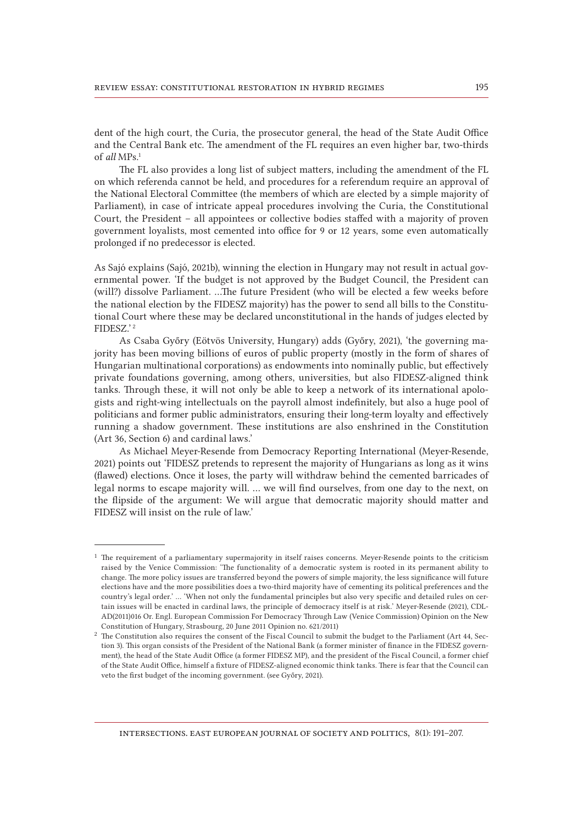dent of the high court, the Curia, the prosecutor general, the head of the State Audit Office and the Central Bank etc. The amendment of the FL requires an even higher bar, two-thirds of *all* MPs.1

The FL also provides a long list of subject matters, including the amendment of the FL on which referenda cannot be held, and procedures for a referendum require an approval of the National Electoral Committee (the members of which are elected by a simple majority of Parliament), in case of intricate appeal procedures involving the Curia, the Constitutional Court, the President – all appointees or collective bodies staffed with a majority of proven government loyalists, most cemented into office for 9 or 12 years, some even automatically prolonged if no predecessor is elected.

As Sajó explains (Sajó, 2021b), winning the election in Hungary may not result in actual governmental power. 'If the budget is not approved by the Budget Council, the President can (will?) dissolve Parliament. …The future President (who will be elected a few weeks before the national election by the FIDESZ majority) has the power to send all bills to the Constitutional Court where these may be declared unconstitutional in the hands of judges elected by FIDESZ.' 2

As Csaba Győry (Eötvös University, Hungary) adds (Győry, 2021), 'the governing majority has been moving billions of euros of public property (mostly in the form of shares of Hungarian multinational corporations) as endowments into nominally public, but effectively private foundations governing, among others, universities, but also FIDESZ-aligned think tanks. Through these, it will not only be able to keep a network of its international apologists and right-wing intellectuals on the payroll almost indefinitely, but also a huge pool of politicians and former public administrators, ensuring their long-term loyalty and effectively running a shadow government. These institutions are also enshrined in the Constitution (Art 36, Section 6) and cardinal laws.'

As Michael Meyer-Resende from Democracy Reporting International (Meyer-Resende, 2021) points out 'FIDESZ pretends to represent the majority of Hungarians as long as it wins (flawed) elections. Once it loses, the party will withdraw behind the cemented barricades of legal norms to escape majority will. … we will find ourselves, from one day to the next, on the flipside of the argument: We will argue that democratic majority should matter and FIDESZ will insist on the rule of law.'

<sup>&</sup>lt;sup>1</sup> The requirement of a parliamentary supermajority in itself raises concerns. Meyer-Resende points to the criticism raised by the Venice Commission: 'The functionality of a democratic system is rooted in its permanent ability to change. The more policy issues are transferred beyond the powers of simple majority, the less significance will future elections have and the more possibilities does a two-third majority have of cementing its political preferences and the country's legal order.' … 'When not only the fundamental principles but also very specific and detailed rules on certain issues will be enacted in cardinal laws, the principle of democracy itself is at risk.' Meyer-Resende (2021), CDL-AD(2011)016 Or. Engl. European Commission For Democracy Through Law (Venice Commission) Opinion on the New Constitution of Hungary, Strasbourg, 20 June 2011 Opinion no. 621/2011)

<sup>&</sup>lt;sup>2</sup> The Constitution also requires the consent of the Fiscal Council to submit the budget to the Parliament (Art 44, Section 3). This organ consists of the President of the National Bank (a former minister of finance in the FIDESZ government), the head of the State Audit Office (a former FIDESZ MP), and the president of the Fiscal Council, a former chief of the State Audit Office, himself a fixture of FIDESZ-aligned economic think tanks. There is fear that the Council can veto the first budget of the incoming government. (see Győry, 2021).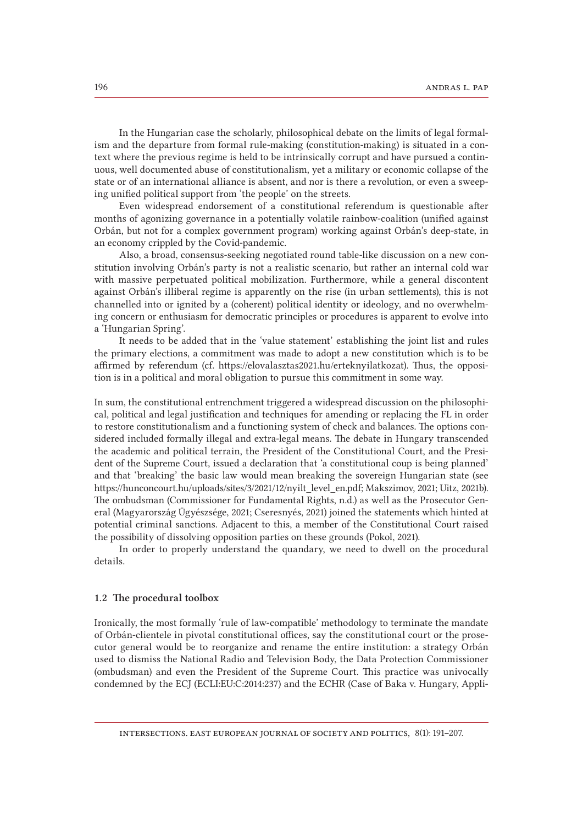In the Hungarian case the scholarly, philosophical debate on the limits of legal formalism and the departure from formal rule-making (constitution-making) is situated in a context where the previous regime is held to be intrinsically corrupt and have pursued a continuous, well documented abuse of constitutionalism, yet a military or economic collapse of the state or of an international alliance is absent, and nor is there a revolution, or even a sweeping unified political support from 'the people' on the streets.

Even widespread endorsement of a constitutional referendum is questionable after months of agonizing governance in a potentially volatile rainbow-coalition (unified against Orbán, but not for a complex government program) working against Orbán's deep-state, in an economy crippled by the Covid-pandemic.

Also, a broad, consensus-seeking negotiated round table-like discussion on a new constitution involving Orbán's party is not a realistic scenario, but rather an internal cold war with massive perpetuated political mobilization. Furthermore, while a general discontent against Orbán's illiberal regime is apparently on the rise (in urban settlements), this is not channelled into or ignited by a (coherent) political identity or ideology, and no overwhelming concern or enthusiasm for democratic principles or procedures is apparent to evolve into a 'Hungarian Spring'.

It needs to be added that in the 'value statement' establishing the joint list and rules the primary elections, a commitment was made to adopt a new constitution which is to be affirmed by referendum (cf. https://elovalasztas2021.hu/erteknyilatkozat). Thus, the opposition is in a political and moral obligation to pursue this commitment in some way.

In sum, the constitutional entrenchment triggered a widespread discussion on the philosophical, political and legal justification and techniques for amending or replacing the FL in order to restore constitutionalism and a functioning system of check and balances. The options considered included formally illegal and extra-legal means. The debate in Hungary transcended the academic and political terrain, the President of the Constitutional Court, and the President of the Supreme Court, issued a declaration that 'a constitutional coup is being planned' and that 'breaking' the basic law would mean breaking the sovereign Hungarian state (see https://hunconcourt.hu/uploads/sites/3/2021/12/nyilt\_level\_en.pdf; Makszimov, 2021; Uitz, 2021b). The ombudsman (Commissioner for Fundamental Rights, n.d.) as well as the Prosecutor General (Magyarország Ügyészsége, 2021; Cseresnyés, 2021) joined the statements which hinted at potential criminal sanctions. Adjacent to this, a member of the Constitutional Court raised the possibility of dissolving opposition parties on these grounds (Pokol, 2021).

In order to properly understand the quandary, we need to dwell on the procedural details.

#### 1.2 The procedural toolbox

Ironically, the most formally 'rule of law-compatible' methodology to terminate the mandate of Orbán-clientele in pivotal constitutional offices, say the constitutional court or the prosecutor general would be to reorganize and rename the entire institution: a strategy Orbán used to dismiss the National Radio and Television Body, the Data Protection Commissioner (ombudsman) and even the President of the Supreme Court. This practice was univocally condemned by the ECJ (ECLI:EU:C:2014:237) and the ECHR (Case of Baka v. Hungary, Appli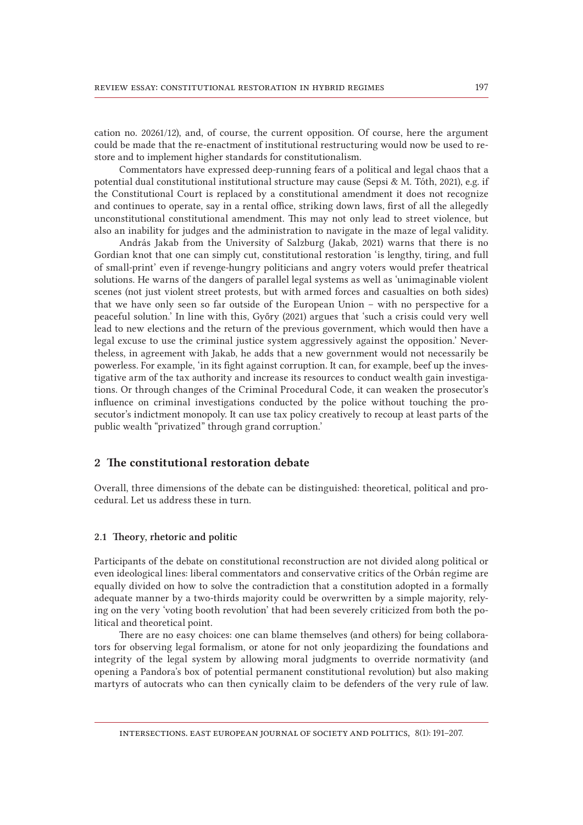cation no. 20261/12), and, of course, the current opposition. Of course, here the argument could be made that the re-enactment of institutional restructuring would now be used to restore and to implement higher standards for constitutionalism.

Commentators have expressed deep-running fears of a political and legal chaos that a potential dual constitutional institutional structure may cause (Sepsi & M. Tóth, 2021), e.g. if the Constitutional Court is replaced by a constitutional amendment it does not recognize and continues to operate, say in a rental office, striking down laws, first of all the allegedly unconstitutional constitutional amendment. This may not only lead to street violence, but also an inability for judges and the administration to navigate in the maze of legal validity.

András Jakab from the University of Salzburg (Jakab, 2021) warns that there is no Gordian knot that one can simply cut, constitutional restoration 'is lengthy, tiring, and full of small-print' even if revenge-hungry politicians and angry voters would prefer theatrical solutions. He warns of the dangers of parallel legal systems as well as 'unimaginable violent scenes (not just violent street protests, but with armed forces and casualties on both sides) that we have only seen so far outside of the European Union – with no perspective for a peaceful solution.' In line with this, Győry (2021) argues that 'such a crisis could very well lead to new elections and the return of the previous government, which would then have a legal excuse to use the criminal justice system aggressively against the opposition.' Nevertheless, in agreement with Jakab, he adds that a new government would not necessarily be powerless. For example, 'in its fight against corruption. It can, for example, beef up the investigative arm of the tax authority and increase its resources to conduct wealth gain investigations. Or through changes of the Criminal Procedural Code, it can weaken the prosecutor's influence on criminal investigations conducted by the police without touching the prosecutor's indictment monopoly. It can use tax policy creatively to recoup at least parts of the public wealth "privatized" through grand corruption.'

# 2 The constitutional restoration debate

Overall, three dimensions of the debate can be distinguished: theoretical, political and procedural. Let us address these in turn.

### 2.1 Theory, rhetoric and politic

Participants of the debate on constitutional reconstruction are not divided along political or even ideological lines: liberal commentators and conservative critics of the Orbán regime are equally divided on how to solve the contradiction that a constitution adopted in a formally adequate manner by a two-thirds majority could be overwritten by a simple majority, relying on the very 'voting booth revolution' that had been severely criticized from both the political and theoretical point.

There are no easy choices: one can blame themselves (and others) for being collaborators for observing legal formalism, or atone for not only jeopardizing the foundations and integrity of the legal system by allowing moral judgments to override normativity (and opening a Pandora's box of potential permanent constitutional revolution) but also making martyrs of autocrats who can then cynically claim to be defenders of the very rule of law.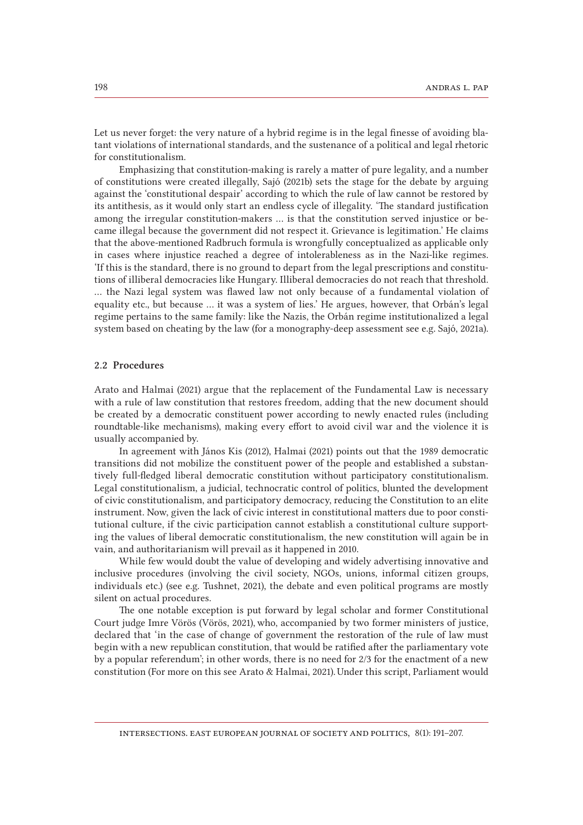Let us never forget: the very nature of a hybrid regime is in the legal finesse of avoiding blatant violations of international standards, and the sustenance of a political and legal rhetoric for constitutionalism.

Emphasizing that constitution-making is rarely a matter of pure legality, and a number of constitutions were created illegally, Sajó (2021b) sets the stage for the debate by arguing against the 'constitutional despair' according to which the rule of law cannot be restored by its antithesis, as it would only start an endless cycle of illegality. 'The standard justification among the irregular constitution-makers … is that the constitution served injustice or became illegal because the government did not respect it. Grievance is legitimation.' He claims that the above-mentioned Radbruch formula is wrongfully conceptualized as applicable only in cases where injustice reached a degree of intolerableness as in the Nazi-like regimes. 'If this is the standard, there is no ground to depart from the legal prescriptions and constitutions of illiberal democracies like Hungary. Illiberal democracies do not reach that threshold. … the Nazi legal system was flawed law not only because of a fundamental violation of equality etc., but because … it was a system of lies.' He argues, however, that Orbán's legal regime pertains to the same family: like the Nazis, the Orbán regime institutionalized a legal system based on cheating by the law (for a monography-deep assessment see e.g. Sajó, 2021a).

#### 2.2 Procedures

Arato and Halmai (2021) argue that the replacement of the Fundamental Law is necessary with a rule of law constitution that restores freedom, adding that the new document should be created by a democratic constituent power according to newly enacted rules (including roundtable-like mechanisms), making every effort to avoid civil war and the violence it is usually accompanied by.

In agreement with János Kis (2012), Halmai (2021) points out that the 1989 democratic transitions did not mobilize the constituent power of the people and established a substantively full-fledged liberal democratic constitution without participatory constitutionalism. Legal constitutionalism, a judicial, technocratic control of politics, blunted the development of civic constitutionalism, and participatory democracy, reducing the Constitution to an elite instrument. Now, given the lack of civic interest in constitutional matters due to poor constitutional culture, if the civic participation cannot establish a constitutional culture supporting the values of liberal democratic constitutionalism, the new constitution will again be in vain, and authoritarianism will prevail as it happened in 2010.

While few would doubt the value of developing and widely advertising innovative and inclusive procedures (involving the civil society, NGOs, unions, informal citizen groups, individuals etc.) (see e.g. Tushnet, 2021), the debate and even political programs are mostly silent on actual procedures.

The one notable exception is put forward by legal scholar and former Constitutional Court judge Imre Vörös (Vörös, 2021), who, accompanied by two former ministers of justice, declared that 'in the case of change of government the restoration of the rule of law must begin with a new republican constitution, that would be ratified after the parliamentary vote by a popular referendum'; in other words, there is no need for 2/3 for the enactment of a new constitution (For more on this see Arato & Halmai, 2021). Under this script, Parliament would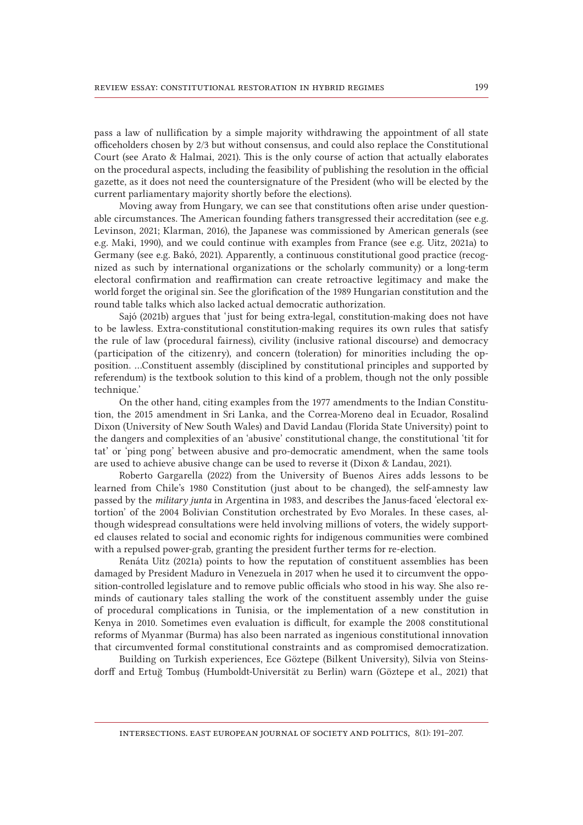pass a law of nullification by a simple majority withdrawing the appointment of all state officeholders chosen by 2/3 but without consensus, and could also replace the Constitutional Court (see Arato & Halmai, 2021). This is the only course of action that actually elaborates on the procedural aspects, including the feasibility of publishing the resolution in the official gazette, as it does not need the countersignature of the President (who will be elected by the current parliamentary majority shortly before the elections).

Moving away from Hungary, we can see that constitutions often arise under questionable circumstances. The American founding fathers transgressed their accreditation (see e.g. Levinson, 2021; Klarman, 2016), the Japanese was commissioned by American generals (see e.g. Maki, 1990), and we could continue with examples from France (see e.g. Uitz, 2021a) to Germany (see e.g. Bakó, 2021). Apparently, a continuous constitutional good practice (recognized as such by international organizations or the scholarly community) or a long-term electoral confirmation and reaffirmation can create retroactive legitimacy and make the world forget the original sin. See the glorification of the 1989 Hungarian constitution and the round table talks which also lacked actual democratic authorization.

Sajó (2021b) argues that 'just for being extra-legal, constitution-making does not have to be lawless. Extra-constitutional constitution-making requires its own rules that satisfy the rule of law (procedural fairness), civility (inclusive rational discourse) and democracy (participation of the citizenry), and concern (toleration) for minorities including the opposition. …Constituent assembly (disciplined by constitutional principles and supported by referendum) is the textbook solution to this kind of a problem, though not the only possible technique.'

On the other hand, citing examples from the 1977 amendments to the Indian Constitution, the 2015 amendment in Sri Lanka, and the Correa-Moreno deal in Ecuador, Rosalind Dixon (University of New South Wales) and David Landau (Florida State University) point to the dangers and complexities of an 'abusive' constitutional change, the constitutional 'tit for tat' or 'ping pong' between abusive and pro-democratic amendment, when the same tools are used to achieve abusive change can be used to reverse it (Dixon & Landau, 2021).

Roberto Gargarella (2022) from the University of Buenos Aires adds lessons to be learned from Chile's 1980 Constitution (just about to be changed), the self-amnesty law passed by the *military junta* in Argentina in 1983, and describes the Janus-faced 'electoral extortion' of the 2004 Bolivian Constitution orchestrated by Evo Morales. In these cases, although widespread consultations were held involving millions of voters, the widely supported clauses related to social and economic rights for indigenous communities were combined with a repulsed power-grab, granting the president further terms for re-election.

Renáta Uitz (2021a) points to how the reputation of constituent assemblies has been damaged by President Maduro in Venezuela in 2017 when he used it to circumvent the opposition-controlled legislature and to remove public officials who stood in his way. She also reminds of cautionary tales stalling the work of the constituent assembly under the guise of procedural complications in Tunisia, or the implementation of a new constitution in Kenya in 2010. Sometimes even evaluation is difficult, for example the 2008 constitutional reforms of Myanmar (Burma) has also been narrated as ingenious constitutional innovation that circumvented formal constitutional constraints and as compromised democratization.

Building on Turkish experiences, Ece Göztepe (Bilkent University), Silvia von Steinsdorff and Ertuğ Tombuş (Humboldt-Universität zu Berlin) warn (Göztepe et al., 2021) that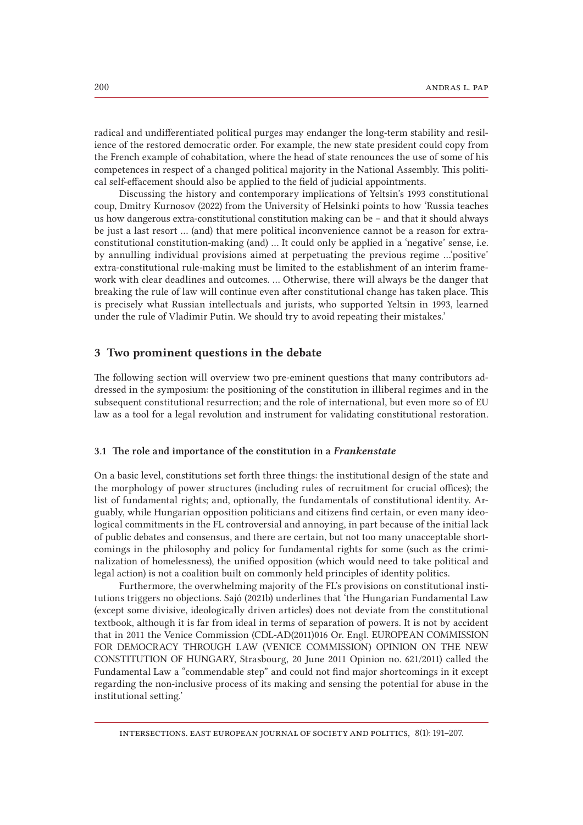radical and undifferentiated political purges may endanger the long-term stability and resilience of the restored democratic order. For example, the new state president could copy from the French example of cohabitation, where the head of state renounces the use of some of his competences in respect of a changed political majority in the National Assembly. This political self-effacement should also be applied to the field of judicial appointments.

Discussing the history and contemporary implications of Yeltsin's 1993 constitutional coup, Dmitry Kurnosov (2022) from the University of Helsinki points to how 'Russia teaches us how dangerous extra-constitutional constitution making can be – and that it should always be just a last resort … (and) that mere political inconvenience cannot be a reason for extra-constitutional constitution-making (and) … It could only be applied in a 'negative' sense, i.e. by annulling individual provisions aimed at perpetuating the previous regime …'positive' extra-constitutional rule-making must be limited to the establishment of an interim framework with clear deadlines and outcomes. … Otherwise, there will always be the danger that breaking the rule of law will continue even after constitutional change has taken place. This is precisely what Russian intellectuals and jurists, who supported Yeltsin in 1993, learned under the rule of Vladimir Putin. We should try to avoid repeating their mistakes.'

# 3 Two prominent questions in the debate

The following section will overview two pre-eminent questions that many contributors addressed in the symposium: the positioning of the constitution in illiberal regimes and in the subsequent constitutional resurrection; and the role of international, but even more so of EU law as a tool for a legal revolution and instrument for validating constitutional restoration.

### 3.1 The role and importance of the constitution in a *Frankenstate*

On a basic level, constitutions set forth three things: the institutional design of the state and the morphology of power structures (including rules of recruitment for crucial offices); the list of fundamental rights; and, optionally, the fundamentals of constitutional identity. Arguably, while Hungarian opposition politicians and citizens find certain, or even many ideological commitments in the FL controversial and annoying, in part because of the initial lack of public debates and consensus, and there are certain, but not too many unacceptable shortcomings in the philosophy and policy for fundamental rights for some (such as the criminalization of homelessness), the unified opposition (which would need to take political and legal action) is not a coalition built on commonly held principles of identity politics.

Furthermore, the overwhelming majority of the FL's provisions on constitutional institutions triggers no objections. Sajó (2021b) underlines that 'the Hungarian Fundamental Law (except some divisive, ideologically driven articles) does not deviate from the constitutional textbook, although it is far from ideal in terms of separation of powers. It is not by accident that in 2011 the Venice Commission (CDL-AD(2011)016 Or. Engl. EUROPEAN COMMISSION FOR DEMOCRACY THROUGH LAW (VENICE COMMISSION) OPINION ON THE NEW CONSTITUTION OF HUNGARY, Strasbourg, 20 June 2011 Opinion no. 621/2011) called the Fundamental Law a "commendable step" and could not find major shortcomings in it except regarding the non-inclusive process of its making and sensing the potential for abuse in the institutional setting.'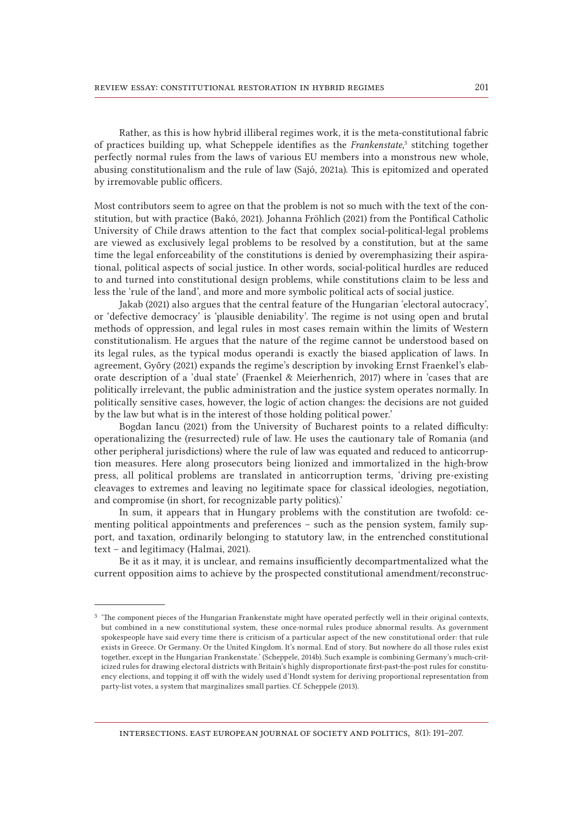Rather, as this is how hybrid illiberal regimes work, it is the meta-constitutional fabric of practices building up, what Scheppele identifies as the *Frankenstate*,<sup>3</sup> stitching together perfectly normal rules from the laws of various EU members into a monstrous new whole, abusing constitutionalism and the rule of law (Sajó, 2021a). This is epitomized and operated by irremovable public officers.

Most contributors seem to agree on that the problem is not so much with the text of the constitution, but with practice (Bakó, 2021). Johanna Fröhlich (2021) from the Pontifical Catholic University of Chile draws attention to the fact that complex social-political-legal problems are viewed as exclusively legal problems to be resolved by a constitution, but at the same time the legal enforceability of the constitutions is denied by overemphasizing their aspirational, political aspects of social justice. In other words, social-political hurdles are reduced to and turned into constitutional design problems, while constitutions claim to be less and less the 'rule of the land', and more and more symbolic political acts of social justice.

Jakab (2021) also argues that the central feature of the Hungarian 'electoral autocracy', or 'defective democracy' is 'plausible deniability'. The regime is not using open and brutal methods of oppression, and legal rules in most cases remain within the limits of Western constitutionalism. He argues that the nature of the regime cannot be understood based on its legal rules, as the typical modus operandi is exactly the biased application of laws. In agreement, Győry (2021) expands the regime's description by invoking Ernst Fraenkel's elaborate description of a 'dual state' (Fraenkel & Meierhenrich, 2017) where in 'cases that are politically irrelevant, the public administration and the justice system operates normally. In politically sensitive cases, however, the logic of action changes: the decisions are not guided by the law but what is in the interest of those holding political power.'

Bogdan Iancu (2021) from the University of Bucharest points to a related difficulty: operationalizing the (resurrected) rule of law. He uses the cautionary tale of Romania (and other peripheral jurisdictions) where the rule of law was equated and reduced to anticorruption measures. Here along prosecutors being lionized and immortalized in the high-brow press, all political problems are translated in anticorruption terms, 'driving pre-existing cleavages to extremes and leaving no legitimate space for classical ideologies, negotiation, and compromise (in short, for recognizable party politics).'

In sum, it appears that in Hungary problems with the constitution are twofold: cementing political appointments and preferences – such as the pension system, family support, and taxation, ordinarily belonging to statutory law, in the entrenched constitutional text – and legitimacy (Halmai, 2021).

Be it as it may, it is unclear, and remains insufficiently decompartmentalized what the current opposition aims to achieve by the prospected constitutional amendment/reconstruc-

<sup>&</sup>lt;sup>3</sup> 'The component pieces of the Hungarian Frankenstate might have operated perfectly well in their original contexts, but combined in a new constitutional system, these once-normal rules produce abnormal results. As government spokespeople have said every time there is criticism of a particular aspect of the new constitutional order: that rule exists in Greece. Or Germany. Or the United Kingdom. It's normal. End of story. But nowhere do all those rules exist together, except in the Hungarian Frankenstate.' (Scheppele, 2014b). Such example is combining Germany's much-criticized rules for drawing electoral districts with Britain's highly disproportionate first-past-the-post rules for constituency elections, and topping it off with the widely used d'Hondt system for deriving proportional representation from party-list votes, a system that marginalizes small parties. Cf. Scheppele (2013).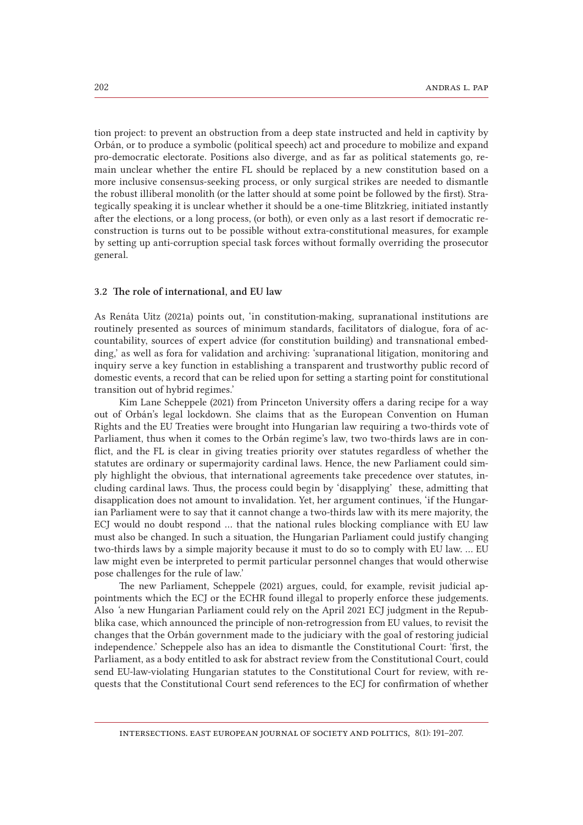tion project: to prevent an obstruction from a deep state instructed and held in captivity by Orbán, or to produce a symbolic (political speech) act and procedure to mobilize and expand pro-democratic electorate. Positions also diverge, and as far as political statements go, remain unclear whether the entire FL should be replaced by a new constitution based on a more inclusive consensus-seeking process, or only surgical strikes are needed to dismantle the robust illiberal monolith (or the latter should at some point be followed by the first). Strategically speaking it is unclear whether it should be a one-time Blitzkrieg, initiated instantly after the elections, or a long process, (or both), or even only as a last resort if democratic reconstruction is turns out to be possible without extra-constitutional measures, for example by setting up anti-corruption special task forces without formally overriding the prosecutor general.

### 3.2 The role of international, and EU law

As Renáta Uitz (2021a) points out, 'in constitution-making, supranational institutions are routinely presented as sources of minimum standards, facilitators of dialogue, fora of accountability, sources of expert advice (for constitution building) and transnational embedding,' as well as fora for validation and archiving: 'supranational litigation, monitoring and inquiry serve a key function in establishing a transparent and trustworthy public record of domestic events, a record that can be relied upon for setting a starting point for constitutional transition out of hybrid regimes.'

Kim Lane Scheppele (2021) from Princeton University offers a daring recipe for a way out of Orbán's legal lockdown. She claims that as the European Convention on Human Rights and the EU Treaties were brought into Hungarian law requiring a two-thirds vote of Parliament, thus when it comes to the Orbán regime's law, two two-thirds laws are in conflict, and the FL is clear in giving treaties priority over statutes regardless of whether the statutes are ordinary or supermajority cardinal laws. Hence, the new Parliament could simply highlight the obvious, that international agreements take precedence over statutes, including cardinal laws. Thus, the process could begin by 'disapplying' these, admitting that disapplication does not amount to invalidation. Yet, her argument continues, 'if the Hungarian Parliament were to say that it cannot change a two-thirds law with its mere majority, the ECJ would no doubt respond … that the national rules blocking compliance with EU law must also be changed. In such a situation, the Hungarian Parliament could justify changing two-thirds laws by a simple majority because it must to do so to comply with EU law. … EU law might even be interpreted to permit particular personnel changes that would otherwise pose challenges for the rule of law.'

The new Parliament, Scheppele (2021) argues, could, for example, revisit judicial appointments which the ECJ or the ECHR found illegal to properly enforce these judgements. Also *'*a new Hungarian Parliament could rely on the April 2021 ECJ judgment in the Repubblika case, which announced the principle of non-retrogression from EU values, to revisit the changes that the Orbán government made to the judiciary with the goal of restoring judicial independence.' Scheppele also has an idea to dismantle the Constitutional Court: 'first, the Parliament, as a body entitled to ask for abstract review from the Constitutional Court, could send EU-law-violating Hungarian statutes to the Constitutional Court for review, with requests that the Constitutional Court send references to the ECJ for confirmation of whether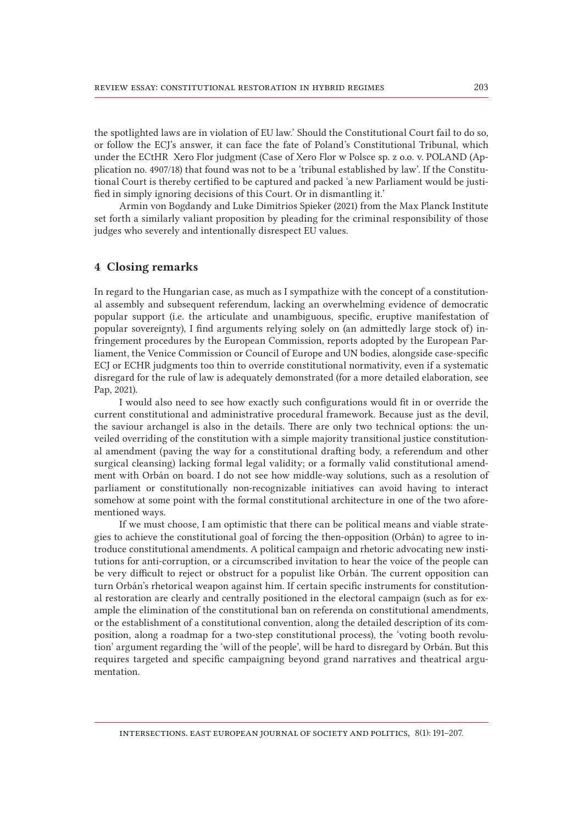the spotlighted laws are in violation of EU law.' Should the Constitutional Court fail to do so, or follow the ECJ's answer, it can face the fate of Poland's Constitutional Tribunal, which under the ECtHR Xero Flor judgment (Case of Xero Flor w Polsce sp. z o.o. v. POLAND (Application no. 4907/18) that found was not to be a 'tribunal established by law'. If the Constitutional Court is thereby certified to be captured and packed 'a new Parliament would be justified in simply ignoring decisions of this Court. Or in dismantling it.'

Armin von Bogdandy and Luke Dimitrios Spieker (2021) from the Max Planck Institute set forth a similarly valiant proposition by pleading for the criminal responsibility of those judges who severely and intentionally disrespect EU values.

### 4 Closing remarks

In regard to the Hungarian case, as much as I sympathize with the concept of a constitutional assembly and subsequent referendum, lacking an overwhelming evidence of democratic popular support (i.e. the articulate and unambiguous, specific, eruptive manifestation of popular sovereignty), I find arguments relying solely on (an admittedly large stock of) infringement procedures by the European Commission, reports adopted by the European Parliament, the Venice Commission or Council of Europe and UN bodies, alongside case-specific ECJ or ECHR judgments too thin to override constitutional normativity, even if a systematic disregard for the rule of law is adequately demonstrated (for a more detailed elaboration, see Pap, 2021).

I would also need to see how exactly such configurations would fit in or override the current constitutional and administrative procedural framework. Because just as the devil, the saviour archangel is also in the details. There are only two technical options: the unveiled overriding of the constitution with a simple majority transitional justice constitutional amendment (paving the way for a constitutional drafting body, a referendum and other surgical cleansing) lacking formal legal validity; or a formally valid constitutional amendment with Orbán on board. I do not see how middle-way solutions, such as a resolution of parliament or constitutionally non-recognizable initiatives can avoid having to interact somehow at some point with the formal constitutional architecture in one of the two aforementioned ways.

If we must choose, I am optimistic that there can be political means and viable strategies to achieve the constitutional goal of forcing the then-opposition (Orbán) to agree to introduce constitutional amendments. A political campaign and rhetoric advocating new institutions for anti-corruption, or a circumscribed invitation to hear the voice of the people can be very difficult to reject or obstruct for a populist like Orbán. The current opposition can turn Orbán's rhetorical weapon against him. If certain specific instruments for constitutional restoration are clearly and centrally positioned in the electoral campaign (such as for example the elimination of the constitutional ban on referenda on constitutional amendments, or the establishment of a constitutional convention, along the detailed description of its composition, along a roadmap for a two-step constitutional process), the 'voting booth revolution' argument regarding the 'will of the people', will be hard to disregard by Orbán. But this requires targeted and specific campaigning beyond grand narratives and theatrical argumentation.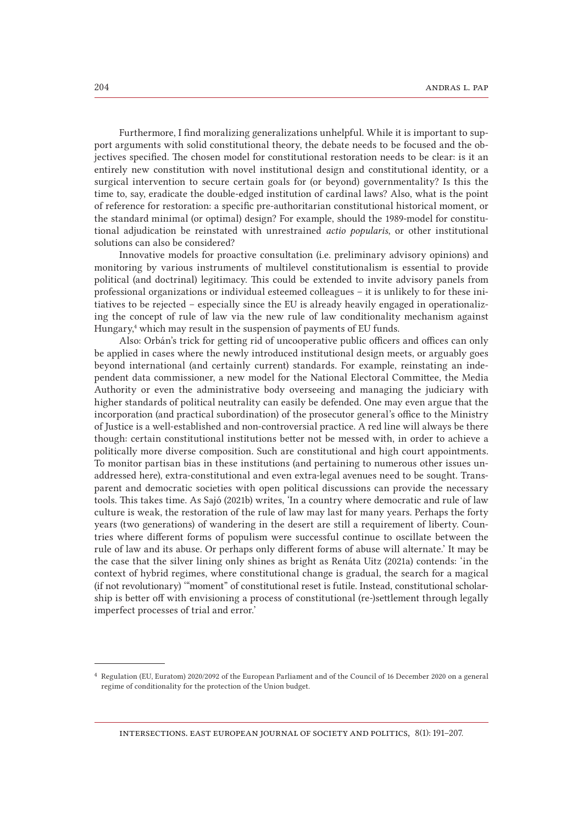Furthermore, I find moralizing generalizations unhelpful. While it is important to support arguments with solid constitutional theory, the debate needs to be focused and the objectives specified. The chosen model for constitutional restoration needs to be clear: is it an entirely new constitution with novel institutional design and constitutional identity, or a surgical intervention to secure certain goals for (or beyond) governmentality? Is this the time to, say, eradicate the double-edged institution of cardinal laws? Also, what is the point of reference for restoration: a specific pre-authoritarian constitutional historical moment, or the standard minimal (or optimal) design? For example, should the 1989-model for constitutional adjudication be reinstated with unrestrained *actio popularis*, or other institutional solutions can also be considered?

Innovative models for proactive consultation (i.e. preliminary advisory opinions) and monitoring by various instruments of multilevel constitutionalism is essential to provide political (and doctrinal) legitimacy. This could be extended to invite advisory panels from professional organizations or individual esteemed colleagues – it is unlikely to for these initiatives to be rejected – especially since the EU is already heavily engaged in operationalizing the concept of rule of law via the new rule of law conditionality mechanism against Hungary,<sup>4</sup> which may result in the suspension of payments of EU funds.

Also: Orbán's trick for getting rid of uncooperative public officers and offices can only be applied in cases where the newly introduced institutional design meets, or arguably goes beyond international (and certainly current) standards. For example, reinstating an independent data commissioner, a new model for the National Electoral Committee, the Media Authority or even the administrative body overseeing and managing the judiciary with higher standards of political neutrality can easily be defended. One may even argue that the incorporation (and practical subordination) of the prosecutor general's office to the Ministry of Justice is a well-established and non-controversial practice. A red line will always be there though: certain constitutional institutions better not be messed with, in order to achieve a politically more diverse composition. Such are constitutional and high court appointments. To monitor partisan bias in these institutions (and pertaining to numerous other issues unaddressed here), extra-constitutional and even extra-legal avenues need to be sought. Transparent and democratic societies with open political discussions can provide the necessary tools. This takes time. As Sajó (2021b) writes, 'In a country where democratic and rule of law culture is weak, the restoration of the rule of law may last for many years. Perhaps the forty years (two generations) of wandering in the desert are still a requirement of liberty. Countries where different forms of populism were successful continue to oscillate between the rule of law and its abuse. Or perhaps only different forms of abuse will alternate.' It may be the case that the silver lining only shines as bright as Renáta Uitz (2021a) contends: 'in the context of hybrid regimes, where constitutional change is gradual, the search for a magical (if not revolutionary) '"moment" of constitutional reset is futile. Instead, constitutional scholarship is better off with envisioning a process of constitutional (re-)settlement through legally imperfect processes of trial and error.'

<sup>4</sup> Regulation (EU, Euratom) 2020/2092 of the European Parliament and of the Council of 16 December 2020 on a general regime of conditionality for the protection of the Union budget.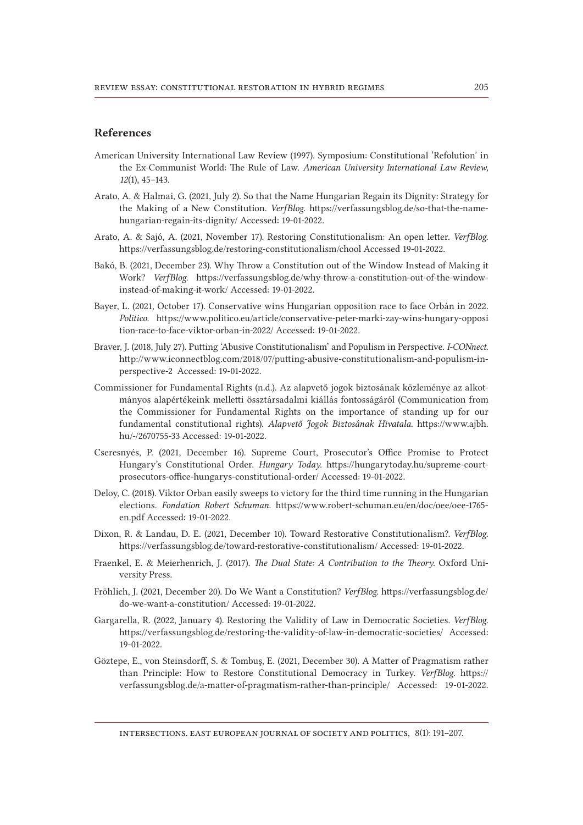# References

- American University International Law Review (1997). Symposium: Constitutional 'Refolution' in the Ex-Communist World: The Rule of Law. *American University International Law Review, 12*(1), 45–143.
- Arato, A. & Halmai, G. (2021, July 2). So that the Name Hungarian Regain its Dignity: Strategy for the Making of a New Constitution. *VerfBlog*. https://verfassungsblog.de/so-that-the-namehungarian-regain-its-dignity/ Accessed: 19-01-2022.
- Arato, A. & Sajó, A. (2021, November 17). Restoring Constitutionalism: An open letter. *VerfBlog*. https://verfassungsblog.de/restoring-constitutionalism/chool Accessed 19-01-2022.
- Bakó, B. (2021, December 23). Why Throw a Constitution out of the Window Instead of Making it Work? *VerfBlog*. https://verfassungsblog.de/why-throw-a-constitution-out-of-the-windowinstead-of-making-it-work/ Accessed: 19-01-2022.
- Bayer, L. (2021, October 17). Conservative wins Hungarian opposition race to face Orbán in 2022. *Politico*. https://www.politico.eu/article/conservative-peter-marki-zay-wins-hungary-opposi tion-race-to-face-viktor-orban-in-2022/ Accessed: 19-01-2022.
- Braver, J. (2018, July 27). Putting 'Abusive Constitutionalism' and Populism in Perspective. *I-CONnect*. http://www.iconnectblog.com/2018/07/putting-abusive-constitutionalism-and-populism-inperspective-2 Accessed: 19-01-2022.
- Commissioner for Fundamental Rights (n.d.). Az alapvető jogok biztosának közleménye az alkotmányos alapértékeink melletti össztársadalmi kiállás fontosságáról (Communication from the Commissioner for Fundamental Rights on the importance of standing up for our fundamental constitutional rights). *Alapvető Jogok Biztosának Hivatala.* https://www.ajbh. hu/-/2670755-33 Accessed: 19-01-2022.
- Cseresnyés, P. (2021, December 16). Supreme Court, Prosecutor's Office Promise to Protect Hungary's Constitutional Order. *Hungary Today.* https://hungarytoday.hu/supreme-courtprosecutors-office-hungarys-constitutional-order/ Accessed: 19-01-2022.
- Deloy, C. (2018). Viktor Orban easily sweeps to victory for the third time running in the Hungarian elections. *Fondation Robert Schuman*. https://www.robert-schuman.eu/en/doc/oee/oee-1765en.pdf Accessed: 19-01-2022.
- Dixon, R. & Landau, D. E. (2021, December 10). Toward Restorative Constitutionalism?. *VerfBlog*. https://verfassungsblog.de/toward-restorative-constitutionalism/ Accessed: 19-01-2022.
- Fraenkel, E. & Meierhenrich, J. (2017). *The Dual State: A Contribution to the Theory*. Oxford University Press.
- Fröhlich, J. (2021, December 20). Do We Want a Constitution? *VerfBlog*. https://verfassungsblog.de/ do-we-want-a-constitution/ Accessed: 19-01-2022.
- Gargarella, R. (2022, January 4). Restoring the Validity of Law in Democratic Societies. *VerfBlog*. https://verfassungsblog.de/restoring-the-validity-of-law-in-democratic-societies/ Accessed: 19-01-2022.
- Göztepe, E., von Steinsdorff, S. & Tombuş, E. (2021, December 30). A Matter of Pragmatism rather than Principle: How to Restore Constitutional Democracy in Turkey. *VerfBlog*. https:// verfassungsblog.de/a-matter-of-pragmatism-rather-than-principle/ Accessed: 19-01-2022.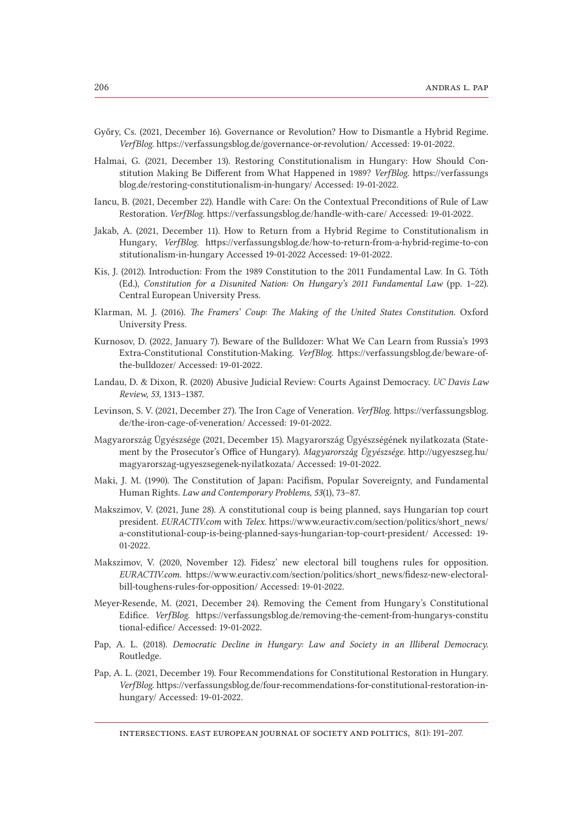- Győry, Cs. (2021, December 16). Governance or Revolution? How to Dismantle a Hybrid Regime. *VerfBlog*. https://verfassungsblog.de/governance-or-revolution/ Accessed: 19-01-2022.
- Halmai, G. (2021, December 13). Restoring Constitutionalism in Hungary: How Should Constitution Making Be Different from What Happened in 1989? *VerfBlog*. https://verfassungs blog.de/restoring-constitutionalism-in-hungary/ Accessed: 19-01-2022.
- Iancu, B. (2021, December 22). Handle with Care: On the Contextual Preconditions of Rule of Law Restoration. *VerfBlog*. https://verfassungsblog.de/handle-with-care/ Accessed: 19-01-2022.
- Jakab, A. (2021, December 11). How to Return from a Hybrid Regime to Constitutionalism in Hungary, *VerfBlog.* https://verfassungsblog.de/how-to-return-from-a-hybrid-regime-to-con stitutionalism-in-hungary Accessed 19-01-2022 Accessed: 19-01-2022.
- Kis, J. (2012). Introduction: From the 1989 Constitution to the 2011 Fundamental Law. In G. Tóth (Ed.), *Constitution for a Disunited Nation: On Hungary's 2011 Fundamental Law* (pp. 1–22). Central European University Press.
- Klarman, M. J. (2016). *The Framers' Coup: The Making of the United States Constitution*. Oxford University Press.
- Kurnosov, D. (2022, January 7). Beware of the Bulldozer: What We Can Learn from Russia's 1993 Extra-Constitutional Constitution-Making. *VerfBlog*. https://verfassungsblog.de/beware-ofthe-bulldozer/ Accessed: 19-01-2022.
- Landau, D. & Dixon, R. (2020) Abusive Judicial Review: Courts Against Democracy. *UC Davis Law Review, 53,* 1313–1387.
- Levinson, S. V. (2021, December 27). The Iron Cage of Veneration. *VerfBlog*. https://verfassungsblog. de/the-iron-cage-of-veneration/ Accessed: 19-01-2022.
- Magyarország Ügyészsége (2021, December 15). Magyarország Ügyészségének nyilatkozata (Statement by the Prosecutor's Office of Hungary). *Magyarország Ügyészsége.* http://ugyeszseg.hu/ magyarorszag-ugyeszsegenek-nyilatkozata/ Accessed: 19-01-2022.
- Maki, J. M. (1990). The Constitution of Japan: Pacifism, Popular Sovereignty, and Fundamental Human Rights. *Law and Contemporary Problems, 53*(1), 73–87.
- Makszimov, V. (2021, June 28). A constitutional coup is being planned, says Hungarian top court president. *EURACTIV.com* with *Telex.* https://www.euractiv.com/section/politics/short\_news/ a-constitutional-coup-is-being-planned-says-hungarian-top-court-president/ Accessed: 19-01-2022.
- Makszimov, V. (2020, November 12). Fidesz' new electoral bill toughens rules for opposition. *EURACTIV.com*. https://www.euractiv.com/section/politics/short\_news/fidesz-new-electoralbill-toughens-rules-for-opposition/ Accessed: 19-01-2022.
- Meyer-Resende, M. (2021, December 24). Removing the Cement from Hungary's Constitutional Edifice. *VerfBlog*. https://verfassungsblog.de/removing-the-cement-from-hungarys-constitu tional-edifice/ Accessed: 19-01-2022.
- Pap, A. L. (2018). *Democratic Decline in Hungary: Law and Society in an Illiberal Democracy*. Routledge.
- Pap, A. L. (2021, December 19). Four Recommendations for Constitutional Restoration in Hungary. *VerfBlog*. https://verfassungsblog.de/four-recommendations-for-constitutional-restoration-inhungary/ Accessed: 19-01-2022.